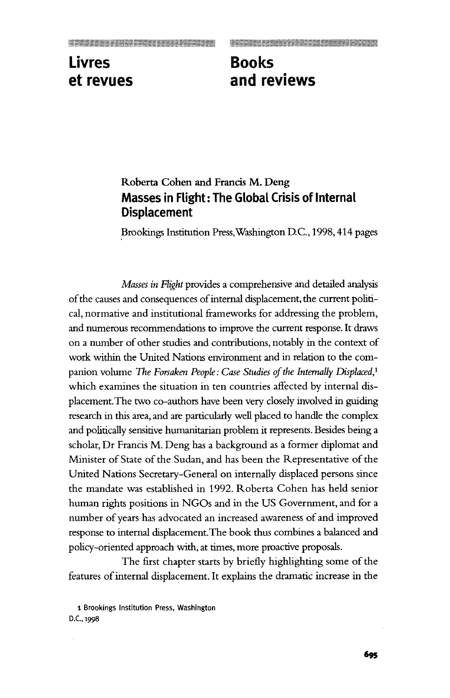## **Livres Books**

## **et revues and reviews**

## **Roberta Cohen and Francis M. Deng Masses in Flight: The Global Crisis of Internal Displacement**

Brookings Institution Press,Washington D.C., 1998,414 pages

*Masses in Flight* provides a comprehensive and detailed analysis of the causes and consequences of internal displacement, the current political, normative and institutional frameworks for addressing the problem, and numerous recommendations to improve the current response. It draws on a number of other studies and contributions, notably in the context of work within the United Nations environment and in relation to the companion volume *The Forsaken People: Case Studies of the Internally Displaced,<sup>1</sup>* which examines the situation in ten countries affected by internal displacement. The two co-authors have been very closely involved in guiding research in this area, and are particularly well placed to handle the complex and politically sensitive humanitarian problem it represents. Besides being a scholar, Dr Francis M. Deng has a background as a former diplomat and Minister of State of the Sudan, and has been the Representative of the United Nations Secretary-General on internally displaced persons since the mandate was established in 1992. Roberta Cohen has held senior human rights positions in NGOs and in the US Government, and for a number of years has advocated an increased awareness of and improved response to internal displacement.The book thus combines a balanced and policy-oriented approach with, at times, more proactive proposals.

The first chapter starts by briefly highlighting some of the features of internal displacement. It explains the dramatic increase in the

1 Brookings Institution Press, Washington D.C., 1998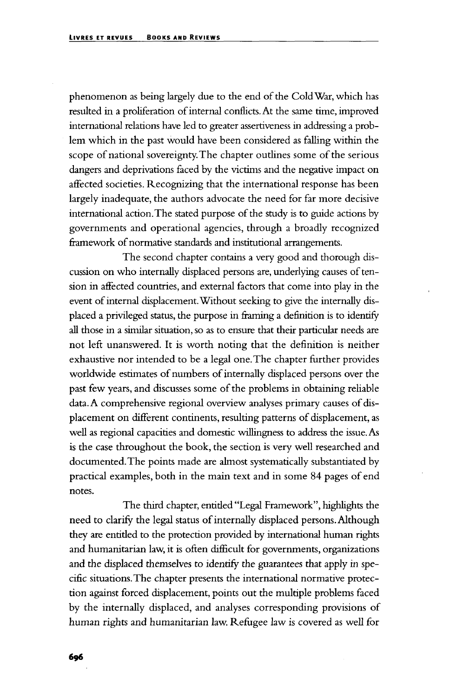phenomenon as being largely due to the end of the Cold War, which has resulted in a proliferation of internal conflicts. At the same time, improved international relations have led to greater assertiveness in addressing a problem which in the past would have been considered as falling within the scope of national sovereignty. The chapter outlines some of the serious dangers and deprivations faced by the victims and the negative impact on affected societies. Recognizing that the international response has been largely inadequate, the authors advocate the need for far more decisive international action. The stated purpose of the study is to guide actions by governments and operational agencies, through a broadly recognized framework of normative standards and institutional arrangements.

The second chapter contains a very good and thorough discussion on who internally displaced persons are, underlying causes of tension in affected countries, and external factors that come into play in the event of internal displacement. Without seeking to give the internally displaced a privileged status, the purpose in framing a definition is to identify all those in a similar situation, so as to ensure that their particular needs are not left unanswered. It is worth noting that the definition is neither exhaustive nor intended to be a legal one. The chapter further provides worldwide estimates of numbers of internally displaced persons over the past few years, and discusses some of the problems in obtaining reliable data. A comprehensive regional overview analyses primary causes of displacement on different continents, resulting patterns of displacement, as well as regional capacities and domestic willingness to address the issue. As is the case throughout the book, the section is very well researched and documented. The points made are almost systematically substantiated by practical examples, both in the main text and in some 84 pages of end notes.

The third chapter, entitled "Legal Framework", highlights the need to clarify the legal status of internally displaced persons. Although they are entitled to the protection provided by international human rights and humanitarian law, it is often difficult for governments, organizations and the displaced themselves to identify the guarantees that apply in specific situations. The chapter presents the international normative protection against forced displacement, points out the multiple problems faced by the internally displaced, and analyses corresponding provisions of human rights and humanitarian law. Refugee law is covered as well for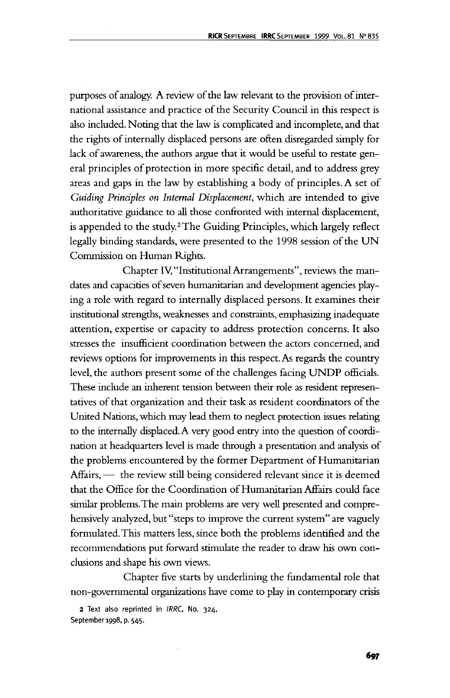purposes of analogy. A review of the law relevant to the provision of international assistance and practice of the Security Council in this respect is also included. Noting that the law is complicated and incomplete, and that the rights of internally displaced persons are often disregarded simply for lack of awareness, the authors argue that it would be useful to restate general principles of protection in more specific detail, and to address grey areas and gaps in the law by establishing a body of principles. A set of *Guiding Principles on Internal Displacement,* which are intended to give authoritative guidance to all those confronted with internal displacement, is appended to the study.<sup>2</sup> The Guiding Principles, which largely reflect legally binding standards, were presented to the 1998 session of the UN Commission on Human Rights.

Chapter IV, "Institutional Arrangements", reviews the mandates and capacities of seven humanitarian and development agencies playing a role with regard to internally displaced persons. It examines their institutional strengths, weaknesses and constraints, emphasizing inadequate attention, expertise or capacity to address protection concerns. It also stresses the insufficient coordination between the actors concerned, and reviews options for improvements in this respect. As regards the country level, the authors present some of the challenges facing UNDP officials. These include an inherent tension between their role as resident representatives of that organization and their task as resident coordinators of the United Nations, which may lead them to neglect protection issues relating to the internally displaced. A very good entry into the question of coordination at headquarters level is made through a presentation and analysis of the problems encountered by the former Department of Humanitarian Affairs, — the review still being considered relevant since it is deemed that the Office for the Coordination of Humanitarian Affairs could face similar problems. The main problems are very well presented and comprehensively analyzed, but "steps to improve the current system" are vaguely formulated. This matters less, since both the problems identified and the recommendations put forward stimulate the reader to draw his own conclusions and shape his own views.

Chapter five starts by underlining the fundamental role that non-governmental organizations have come to play in contemporary crisis

2 Text also reprinted in IRRC, No. 324, September 1998, p. 545.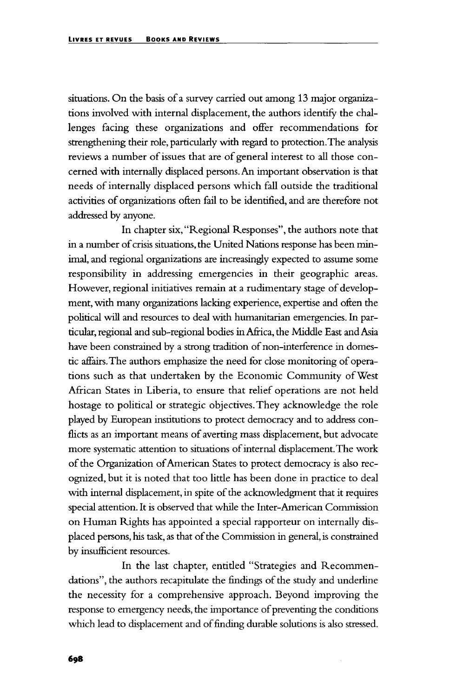situations. On the basis of a survey carried out among 13 major organizations involved with internal displacement, the authors identify the challenges facing these organizations and offer recommendations for strengthening their role, particularly with regard to protection.The analysis reviews a number of issues that are of general interest to all those concerned with internally displaced persons. An important observation is that needs of internally displaced persons which fall outside the traditional activities of organizations often fail to be identified, and are therefore not addressed by anyone.

In chapter six, "Regional Responses", the authors note that in a number of crisis situations, the United Nations response has been minimal, and regional organizations are increasingly expected to assume some responsibility in addressing emergencies in their geographic areas. However, regional initiatives remain at a rudimentary stage of development, with many organizations lacking experience, expertise and often the political will and resources to deal with humanitarian emergencies. In particular, regional and sub-regional bodies in Africa, the Middle East and Asia have been constrained by a strong tradition of non-interference in domestic affairs. The authors emphasize the need for close monitoring of operations such as that undertaken by the Economic Community of West African States in Liberia, to ensure that relief operations are not held hostage to political or strategic objectives. They acknowledge the role played by European institutions to protect democracy and to address conflicts as an important means of averting mass displacement, but advocate more systematic attention to situations of internal displacement. The work of the Organization of American States to protect democracy is also recognized, but it is noted that too little has been done in practice to deal with internal displacement, in spite of the acknowledgment that it requires special attention. It is observed that while the Inter-American Commission on Human Rights has appointed a special rapporteur on internally displaced persons, his task, as that of the Commission in general, is constrained by insufficient resources.

In the last chapter, entitled "Strategies and Recommendations", the authors recapitulate the findings of the study and underline the necessity for a comprehensive approach. Beyond improving the response to emergency needs, the importance of preventing the conditions which lead to displacement and of finding durable solutions is also stressed.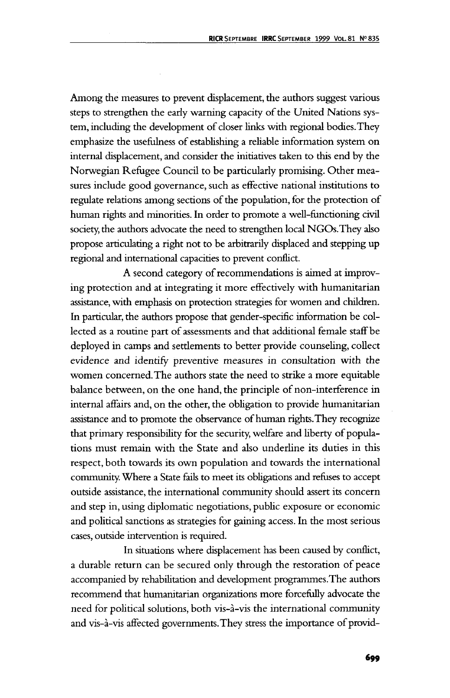Among the measures to prevent displacement, the authors suggest various steps to strengthen the early warning capacity of the United Nations system, including the development of closer links with regional bodies. They emphasize the usefulness of establishing a reliable information system on internal displacement, and consider the initiatives taken to this end by the Norwegian Refugee Council to be particularly promising. Other measures include good governance, such as effective national institutions to regulate relations among sections of the population, for the protection of human rights and minorities. In order to promote a well-functioning civil society, the authors advocate the need to strengthen local NGOs.They also propose articulating a right not to be arbitrarily displaced and stepping up regional and international capacities to prevent conflict.

A second category of recommendations is aimed at improving protection and at integrating it more effectively with humanitarian assistance, with emphasis on protection strategies for women and children. In particular, the authors propose that gender-specific information be collected as a routine part of assessments and that additional female staff be deployed in camps and settlements to better provide counseling, collect evidence and identify preventive measures in consultation with the women concerned. The authors state the need to strike a more equitable balance between, on the one hand, the principle of non-interference in internal affairs and, on the other, the obligation to provide humanitarian assistance and to promote the observance of human rights.They recognize that primary responsibility for the security, welfare and liberty of populations must remain with the State and also underline its duties in this respect, both towards its own population and towards the international community. Where a State fails to meet its obligations and refuses to accept outside assistance, the international community should assert its concern and step in, using diplomatic negotiations, public exposure or economic and political sanctions as strategies for gaining access. In the most serious cases, outside intervention is required.

In situations where displacement has been caused by conflict, a durable return can be secured only through the restoration of peace accompanied by rehabilitation and development programmes.The authors recommend that humanitarian organizations more forcefully advocate the need for political solutions, both vis-a-vis the international community and vis-a-vis affected governments. They stress the importance of provid